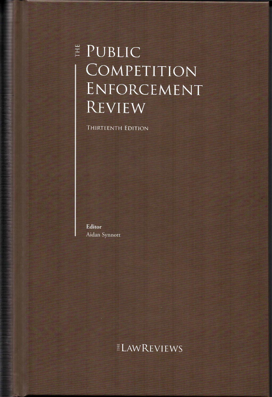# E PUBLIC COMPETITION ENFORCEMENT REVIEW

THIRTEENTH EDITION

Editor Aidan Synnott

a a shekarar 1999 haqida ta 1999 haqida qayta tarixiy ma'lumot olan ma'lumot olib tarixiy ma'lumot olib ta'sim

# *ELAWREVIEWS*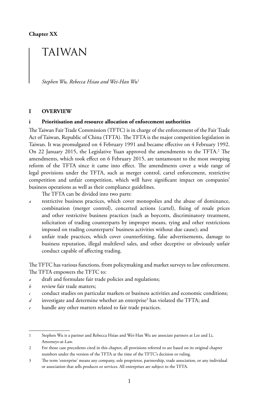# TAIWAN

*Stephen Wu, Rebecca Hsiao and Wei-Han Wu*<sup>1</sup>

# **I OVERVIEW**

# **i Prioritisation and resource allocation of enforcement authorities**

The Taiwan Fair Trade Commission (TFTC) is in charge of the enforcement of the Fair Trade Act of Taiwan, Republic of China (TFTA). The TFTA is the major competition legislation in Taiwan. It was promulgated on 4 February 1991 and became effective on 4 February 1992. On 22 January 2015, the Legislative Yuan approved the amendments to the TFTA.<sup>2</sup> The amendments, which took effect on 6 February 2015, are tantamount to the most sweeping reform of the TFTA since it came into effect. The amendments cover a wide range of legal provisions under the TFTA, such as merger control, cartel enforcement, restrictive competition and unfair competition, which will have significant impact on companies' business operations as well as their compliance guidelines.

The TFTA can be divided into two parts:

- *a* restrictive business practices, which cover monopolies and the abuse of dominance, combination (merger control), concerted actions (cartel), fixing of resale prices and other restrictive business practices (such as boycotts, discriminatory treatment, solicitation of trading counterparts by improper means, tying and other restrictions imposed on trading counterparts' business activities without due cause); and
- *b* unfair trade practices, which cover counterfeiting, false advertisements, damage to business reputation, illegal multilevel sales, and other deceptive or obviously unfair conduct capable of affecting trading.

The TFTC has various functions, from policymaking and market surveys to law enforcement. The TFTA empowers the TFTC to:

- *a* draft and formulate fair trade policies and regulations;
- *b* review fair trade matters;
- *c* conduct studies on particular markets or business activities and economic conditions;
- d investigate and determine whether an enterprise<sup>3</sup> has violated the TFTA; and
- handle any other matters related to fair trade practices.

<sup>1</sup> Stephen Wu is a partner and Rebecca Hsiao and Wei-Han Wu are associate partners at Lee and Li, Attorneys-at-Law.

<sup>2</sup> For those case precedents cited in this chapter, all provisions referred to are based on its original chapter numbers under the version of the TFTA at the time of the TFTC's decision or ruling.

<sup>3</sup> The term 'enterprise' means any company, sole proprietor, partnership, trade association, or any individual or association that sells products or services. All enterprises are subject to the TFTA.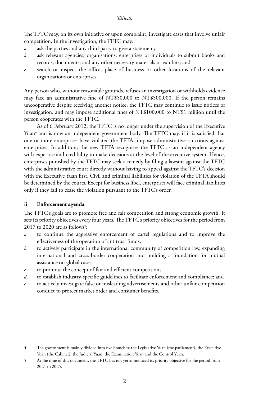The TFTC may, on its own initiative or upon complaint, investigate cases that involve unfair competition. In the investigation, the TFTC may:

- *a* ask the parties and any third party to give a statement;
- *b* ask relevant agencies, organisations, enterprises or individuals to submit books and records, documents, and any other necessary materials or exhibits; and
- *c* search or inspect the office, place of business or other locations of the relevant organisations or enterprises.

Any person who, without reasonable grounds, refuses an investigation or withholds evidence may face an administrative fine of NT\$50,000 to NT\$500,000. If the person remains uncooperative despite receiving another notice, the TFTC may continue to issue notices of investigation, and may impose additional fines of NT\$100,000 to NT\$1 million until the person cooperates with the TFTC.

As of 6 February 2012, the TFTC is no longer under the supervision of the Executive Yuan<sup>4</sup> and is now an independent government body. The TFTC may, if it is satisfied that one or more enterprises have violated the TFTA, impose administrative sanctions against enterprises. In addition, the new TFTA recognises the TFTC as an independent agency with expertise and credibility to make decisions at the level of the executive system. Hence, enterprises punished by the TFTC may seek a remedy by filing a lawsuit against the TFTC with the administrative court directly without having to appeal against the TFTC's decision with the Executive Yuan first. Civil and criminal liabilities for violation of the TFTA should be determined by the courts. Except for business libel, enterprises will face criminal liabilities only if they fail to cease the violation pursuant to the TFTC's order.

# **ii Enforcement agenda**

The TFTC's goals are to promote free and fair competition and strong economic growth. It sets its priority objectives every four years. The TFTC's priority objectives for the period from  $2017$  to  $2020$  are as follows<sup>5</sup>:

- *a* to continue the aggressive enforcement of cartel regulations and to improve the effectiveness of the operation of antitrust funds;
- *b* to actively participate in the international community of competition law, expanding international and cross-border cooperation and building a foundation for mutual assistance on global cases;
- *c* to promote the concept of fair and efficient competition;
- *d* to establish industry-specific guidelines to facilitate enforcement and compliance; and
- *e* to actively investigate false or misleading advertisements and other unfair competition conduct to protect market order and consumer benefits.

<sup>4</sup> The government is mainly divided into five branches: the Legislative Yuan (the parliament), the Executive Yuan (the Cabinet), the Judicial Yuan, the Examination Yuan and the Control Yuan.

<sup>5</sup> At the time of this document, the TFTC has not yet announced its priority objective for the period from 2021 to 2025.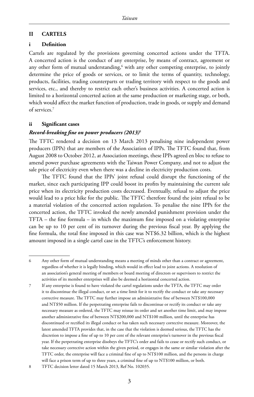# **II CARTELS**

# **i Definition**

Cartels are regulated by the provisions governing concerted actions under the TFTA. A concerted action is the conduct of any enterprise, by means of contract, agreement or any other form of mutual understanding,<sup>6</sup> with any other competing enterprise, to jointly determine the price of goods or services, or to limit the terms of quantity, technology, products, facilities, trading counterparts or trading territory with respect to the goods and services, etc., and thereby to restrict each other's business activities. A concerted action is limited to a horizontal concerted action at the same production or marketing stage, or both, which would affect the market function of production, trade in goods, or supply and demand of services.7

# **ii Significant cases**

# *Record-breaking fine on power producers (2013)*<sup>8</sup>

The TFTC rendered a decision on 13 March 2013 penalising nine independent power producers (IPPs) that are members of the Association of IPPs. The TFTC found that, from August 2008 to October 2012, at Association meetings, these IPPs agreed en bloc to refuse to amend power purchase agreements with the Taiwan Power Company, and not to adjust the sale price of electricity even when there was a decline in electricity production costs.

The TFTC found that the IPPs' joint refusal could disrupt the functioning of the market, since each participating IPP could boost its profits by maintaining the current sale price when its electricity production costs decreased. Eventually, refusal to adjust the price would lead to a price hike for the public. The TFTC therefore found the joint refusal to be a material violation of the concerted action regulation. To penalise the nine IPPs for the concerted action, the TFTC invoked the newly amended punishment provision under the TFTA – the fine formula – in which the maximum fine imposed on a violating enterprise can be up to 10 per cent of its turnover during the previous fiscal year. By applying the fine formula, the total fine imposed in this case was NT\$6.32 billion, which is the highest amount imposed in a single cartel case in the TFTC's enforcement history.

8 TFTC decision letter dated 15 March 2013, Ref No. 102035.

<sup>6</sup> Any other form of mutual understanding means a meeting of minds other than a contract or agreement, regardless of whether it is legally binding, which would in effect lead to joint actions. A resolution of an association's general meeting of members or board meeting of directors or supervisors to restrict the activities of its member enterprises will also be deemed a horizontal concerted action.

<sup>7</sup> If any enterprise is found to have violated the cartel regulations under the TFTA, the TFTC may order it to discontinue the illegal conduct, or set a time limit for it to rectify the conduct or take any necessary corrective measure. The TFTC may further impose an administrative fine of between NT\$100,000 and NT\$50 million. If the perpetrating enterprise fails to discontinue or rectify its conduct or take any necessary measure as ordered, the TFTC may reissue its order and set another time limit, and may impose another administrative fine of between NT\$200,000 and NT\$100 million, until the enterprise has discontinued or rectified its illegal conduct or has taken such necessary corrective measure. Moreover, the latest amended TFTA provides that, in the case that the violation is deemed serious, the TFTC has the discretion to impose a fine of up to 10 per cent of the relevant enterprise's turnover in the previous fiscal year. If the perpetrating enterprise disobeys the TFTC's order and fails to cease or rectify such conduct, or take necessary corrective action within the given period, or engages in the same or similar violation after the TFTC order, the enterprise will face a criminal fine of up to NT\$100 million, and the persons in charge will face a prison term of up to three years, a criminal fine of up to NT\$100 million, or both.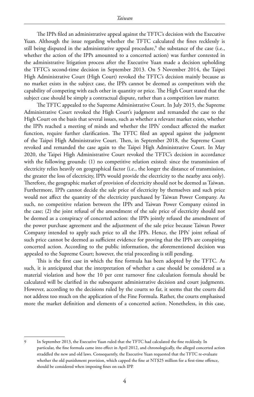The IPPs filed an administrative appeal against the TFTC's decision with the Executive Yuan. Although the issue regarding whether the TFTC calculated the fines recklessly is still being disputed in the administrative appeal procedure,<sup>9</sup> the substance of the case (i.e., whether the action of the IPPs amounted to a concerted action) was further contested in the administrative litigation process after the Executive Yuan made a decision upholding the TFTC's second-time decision in September 2013. On 5 November 2014, the Taipei High Administrative Court (High Court) revoked the TFTC's decision mainly because as no market exists in the subject case, the IPPs cannot be deemed as competitors with the capability of competing with each other in quantity or price. The High Court stated that the subject case should be simply a contractual dispute, rather than a competition law matter.

The TFTC appealed to the Supreme Administrative Court. In July 2015, the Supreme Administrative Court revoked the High Court's judgment and remanded the case to the High Court on the basis that several issues, such as whether a relevant market exists, whether the IPPs reached a meeting of minds and whether the IPPs' conduct affected the market function, require further clarification. The TFTC filed an appeal against the judgment of the Taipei High Administrative Court. Then, in September 2018, the Supreme Court revoked and remanded the case again to the Taipei High Administrative Court. In May 2020, the Taipei High Administrative Court revoked the TFTC's decision in accordance with the following grounds: (1) no competitive relation existed: since the transmission of electricity relies heavily on geographical factor (i.e., the longer the distance of transmission, the greater the loss of electricity, IPPs would provide the electricity to the nearby area only). Therefore, the geographic market of provision of electricity should not be deemed as Taiwan. Furthermore, IPPs cannot decide the sale price of electricity by themselves and such price would not affect the quantity of the electricity purchased by Taiwan Power Company. As such, no competitive relation between the IPPs and Taiwan Power Company existed in the case; (2) the joint refusal of the amendment of the sale price of electricity should not be deemed as a conspiracy of concerted action: the IPPs jointly refused the amendment of the power purchase agreement and the adjustment of the sale price because Taiwan Power Company intended to apply such price to all the IPPs. Hence, the IPPs' joint refusal of such price cannot be deemed as sufficient evidence for proving that the IPPs are conspiring concerted action. According to the public information, the aforementioned decision was appealed to the Supreme Court; however, the trial proceeding is still pending.

This is the first case in which the fine formula has been adopted by the TFTC. As such, it is anticipated that the interpretation of whether a case should be considered as a material violation and how the 10 per cent turnover fine calculation formula should be calculated will be clarified in the subsequent administrative decision and court judgments. However, according to the decisions ruled by the courts so far, it seems that the courts did not address too much on the application of the Fine Formula. Rather, the courts emphasised more the market definition and elements of a concerted action. Nonetheless, in this case,

<sup>9</sup> In September 2013, the Executive Yuan ruled that the TFTC had calculated the fine recklessly. In particular, the fine formula came into effect in April 2012, and chronologically, the alleged concerted action straddled the new and old laws. Consequently, the Executive Yuan requested that the TFTC re-evaluate whether the old punishment provision, which capped the fine at NT\$25 million for a first-time offence, should be considered when imposing fines on each IPP.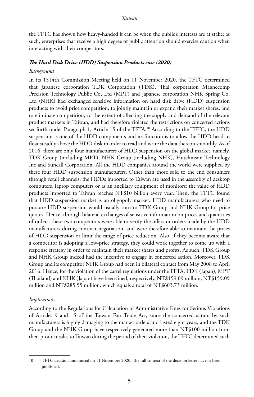the TFTC has shown how heavy-handed it can be when the public's interests are at stake; as such, enterprises that receive a high degree of public attention should exercise caution when interacting with their competitors.

# *The Hard Disk Drive (HDD) Suspension Products case (2020)*

# *Background*

In its 1514th Commission Meeting held on 11 November 2020, the TFTC determined that Japanese corporation TDK Corporation (TDK), Thai corporation Magnecomp Precision Technology Public Co, Ltd (MPT) and Japanese corporation NHK Spring Co, Ltd (NHK) had exchanged sensitive information on hard disk drive (HDD) suspension products to avoid price competition, to jointly maintain or expand their market shares, and to eliminate competition, to the extent of affecting the supply and demand of the relevant product markets in Taiwan, and had therefore violated the restrictions on concerted actions set forth under Paragraph 1, Article 15 of the TFTA.<sup>10</sup> According to the TFTC, the HDD suspension is one of the HDD components and its function is to allow the HDD head to float steadily above the HDD disk in order to read and write the data thereon smoothly. As of 2016, there are only four manufacturers of HDD suspension on the global market, namely, TDK Group (including MPT), NHK Group (including NHK), Hutchinson Technology Inc and Suncall Corporation. All the HDD companies around the world were supplied by these four HDD suspension manufacturers. Other than those sold to the end consumers through retail channels, the HDDs imported to Taiwan are used in the assembly of desktop computers, laptop computers or as an ancillary equipment of monitors; the value of HDD products imported to Taiwan reaches NT\$10 billion every year. Then, the TFTC found that HDD suspension market is an oligopoly market. HDD manufacturers who need to procure HDD suspension would usually turn to TDK Group and NHK Group for price quotes. Hence, through bilateral exchanges of sensitive information on prices and quantities of orders, these two competitors were able to verify the offers or orders made by the HDD manufacturers during contract negotiation, and were therefore able to maintain the prices of HDD suspension or limit the range of price reduction. Also, if they become aware that a competitor is adopting a low-price strategy, they could work together to come up with a response strategy in order to maintain their market shares and profits. As such, TDK Group and NHK Group indeed had the incentive to engage in concerted action. Moreover, TDK Group and its competitor NHK Group had been in bilateral contact from May 2008 to April 2016. Hence, for the violation of the cartel regulations under the TFTA, TDK (Japan), MPT (Thailand) and NHK (Japan) have been fined, respectively, NT\$159.09 million, NT\$159.09 million and NT\$285.55 million, which equals a total of NT\$603.73 million.

# *Implications*

According to the Regulations for Calculation of Administrative Fines for Serious Violations of Articles 9 and 15 of the Taiwan Fair Trade Act, since the concerted action by such manufacturers is highly damaging to the market orders and lasted eight years, and the TDK Group and the NHK Group have respectively generated more than NT\$100 million from their product sales to Taiwan during the period of their violation, the TFTC determined such

<sup>10</sup> TFTC decision announced on 11 November 2020. The full context of the decision letter has not been published.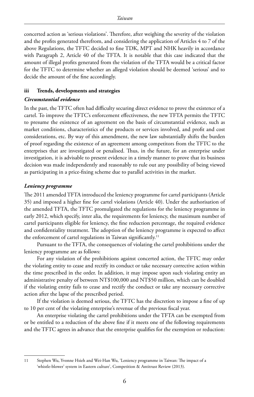concerted action as 'serious violations'. Therefore, after weighing the severity of the violation and the profits generated therefrom, and considering the application of Articles 4 to 7 of the above Regulations, the TFTC decided to fine TDK, MPT and NHK heavily in accordance with Paragraph 2, Article 40 of the TFTA. It is notable that this case indicated that the amount of illegal profits generated from the violation of the TFTA would be a critical factor for the TFTC to determine whether an alleged violation should be deemed 'serious' and to decide the amount of the fine accordingly.

# **iii Trends, developments and strategies**

# *Circumstantial evidence*

In the past, the TFTC often had difficulty securing direct evidence to prove the existence of a cartel. To improve the TFTC's enforcement effectiveness, the new TFTA permits the TFTC to presume the existence of an agreement on the basis of circumstantial evidence, such as market conditions, characteristics of the products or services involved, and profit and cost considerations, etc. By way of this amendment, the new law substantially shifts the burden of proof regarding the existence of an agreement among competitors from the TFTC to the enterprises that are investigated or penalised. Thus, in the future, for an enterprise under investigation, it is advisable to present evidence in a timely manner to prove that its business decision was made independently and reasonably to rule out any possibility of being viewed as participating in a price-fixing scheme due to parallel activities in the market.

# *Leniency programme*

The 2011 amended TFTA introduced the leniency programme for cartel participants (Article 35) and imposed a higher fine for cartel violations (Article 40). Under the authorisation of the amended TFTA, the TFTC promulgated the regulations for the leniency programme in early 2012, which specify, inter alia, the requirements for leniency, the maximum number of cartel participants eligible for leniency, the fine reduction percentage, the required evidence and confidentiality treatment. The adoption of the leniency programme is expected to affect the enforcement of cartel regulations in Taiwan significantly.<sup>11</sup>

Pursuant to the TFTA, the consequences of violating the cartel prohibitions under the leniency programme are as follows:

For any violation of the prohibitions against concerted action, the TFTC may order the violating entity to cease and rectify its conduct or take necessary corrective action within the time prescribed in the order. In addition, it may impose upon such violating entity an administrative penalty of between NT\$100,000 and NT\$50 million, which can be doubled if the violating entity fails to cease and rectify the conduct or take any necessary corrective action after the lapse of the prescribed period.

If the violation is deemed serious, the TFTC has the discretion to impose a fine of up to 10 per cent of the violating enterprise's revenue of the previous fiscal year.

An enterprise violating the cartel prohibitions under the TFTA can be exempted from or be entitled to a reduction of the above fine if it meets one of the following requirements and the TFTC agrees in advance that the enterprise qualifies for the exemption or reduction:

<sup>11</sup> Stephen Wu, Yvonne Hsieh and Wei-Han Wu, 'Leniency programme in Taiwan: The impact of a 'whistle-blower' system in Eastern culture', Competition & Antitrust Review (2013).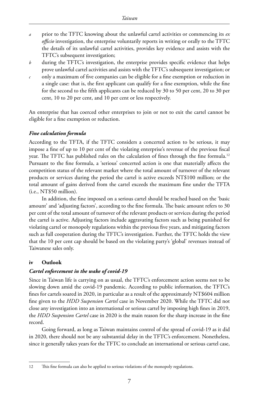- *a* prior to the TFTC knowing about the unlawful cartel activities or commencing its *ex officio* investigation, the enterprise voluntarily reports in writing or orally to the TFTC the details of its unlawful cartel activities, provides key evidence and assists with the TFTC's subsequent investigation;
- *b* during the TFTC's investigation, the enterprise provides specific evidence that helps prove unlawful cartel activities and assists with the TFTC's subsequent investigation; or
- *c* only a maximum of five companies can be eligible for a fine exemption or reduction in a single case: that is, the first applicant can qualify for a fine exemption, while the fine for the second to the fifth applicants can be reduced by 30 to 50 per cent, 20 to 30 per cent, 10 to 20 per cent, and 10 per cent or less respectively.

An enterprise that has coerced other enterprises to join or not to exit the cartel cannot be eligible for a fine exemption or reduction.

# *Fine calculation formula*

According to the TFTA, if the TFTC considers a concerted action to be serious, it may impose a fine of up to 10 per cent of the violating enterprise's revenue of the previous fiscal year. The TFTC has published rules on the calculation of fines through the fine formula.<sup>12</sup> Pursuant to the fine formula, a 'serious' concerted action is one that materially affects the competition status of the relevant market where the total amount of turnover of the relevant products or services during the period the cartel is active exceeds NT\$100 million; or the total amount of gains derived from the cartel exceeds the maximum fine under the TFTA (i.e., NT\$50 million).

In addition, the fine imposed on a serious cartel should be reached based on the 'basic amount' and 'adjusting factors', according to the fine formula. The basic amount refers to 30 per cent of the total amount of turnover of the relevant products or services during the period the cartel is active. Adjusting factors include aggravating factors such as being punished for violating cartel or monopoly regulations within the previous five years, and mitigating factors such as full cooperation during the TFTC's investigation. Further, the TFTC holds the view that the 10 per cent cap should be based on the violating party's 'global' revenues instead of Taiwanese sales only.

# **iv Outlook**

#### *Cartel enforcement in the wake of covid-19*

Since in Taiwan life is carrying on as usual, the TFTC's enforcement action seems not to be slowing down amid the covid-19 pandemic. According to public information, the TFTC's fines for cartels soared in 2020, in particular as a result of the approximately NT\$604 million fine given to the *HDD Suspension Cartel* case in November 2020. While the TFTC did not close any investigation into an international or serious cartel by imposing high fines in 2019, the *HDD Suspension Cartel* case in 2020 is the main reason for the sharp increase in the fine record.

Going forward, as long as Taiwan maintains control of the spread of covid-19 as it did in 2020, there should not be any substantial delay in the TFTC's enforcement. Nonetheless, since it generally takes years for the TFTC to conclude an international or serious cartel case,

<sup>12</sup> This fine formula can also be applied to serious violations of the monopoly regulations.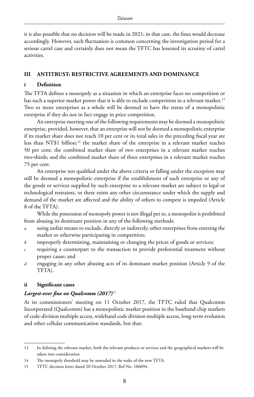it is also possible that no decision will be made in 2021; in that case, the fines would decrease accordingly. However, such fluctuation is common concerning the investigation period for a serious cartel case and certainly does not mean the TFTC has lessened its scrutiny of cartel activities.

#### **III ANTITRUST: RESTRICTIVE AGREEMENTS AND DOMINANCE**

#### **i Definition**

The TFTA defines a monopoly as a situation in which an enterprise faces no competition or has such a superior market power that it is able to exclude competition in a relevant market.<sup>13</sup> Two or more enterprises as a whole will be deemed to have the status of a monopolistic enterprise if they do not in fact engage in price competition.

An enterprise meeting one of the following requirements may be deemed a monopolistic enterprise, provided, however, that an enterprise will not be deemed a monopolistic enterprise if its market share does not reach 10 per cent or its total sales in the preceding fiscal year are less than NT\$1 billion:<sup>14</sup> the market share of the enterprise in a relevant market reaches 50 per cent; the combined market share of two enterprises in a relevant market reaches two-thirds; and the combined market share of three enterprises in a relevant market reaches 75 per cent.

An enterprise not qualified under the above criteria or falling under the exception may still be deemed a monopolistic enterprise if the establishment of such enterprise or any of the goods or services supplied by such enterprise to a relevant market are subject to legal or technological restraints, or there exists any other circumstance under which the supply and demand of the market are affected and the ability of others to compete is impeded (Article 8 of the TFTA).

While the possession of monopoly power is not illegal per se, a monopolist is prohibited from abusing its dominant position in any of the following methods:

- *a* using unfair means to exclude, directly or indirectly, other enterprises from entering the market or otherwise participating in competition;
- *b* improperly determining, maintaining or changing the prices of goods or services;
- *c* requiring a counterpart to the transaction to provide preferential treatment without proper cause; and
- *d* engaging in any other abusing acts of its dominant market position (Article 9 of the TFTA).

#### **ii Significant cases**

#### *Largest-ever fine on Qualcomm (2017)*<sup>15</sup>

At its commissioners' meeting on 11 October 2017, the TFTC ruled that Qualcomm Incorporated (Qualcomm) has a monopolistic market position in the baseband chip markets of code-division multiple access, wideband code division multiple access, long-term evolution and other cellular communication standards, but that:

<sup>13</sup> In defining the relevant market, both the relevant products or services and the geographical markets will be taken into consideration.

<sup>14</sup> The monopoly threshold may be amended in the wake of the new TFTA.

<sup>15</sup> TFTC decision letter dated 20 October 2017, Ref No. 106094.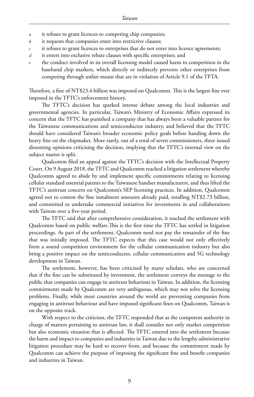- *a* it refuses to grant licences to competing chip companies;
- *b* it requests that companies enter into restrictive clauses;
- *c* it refuses to grant licences to enterprises that do not enter into licence agreements;
- *d* it enters into exclusive rebate clauses with specific enterprises; and
- the conduct involved in its overall licensing model caused harm to competition in the baseband chip markets, which directly or indirectly prevents other enterprises from competing through unfair means that are in violation of Article 9.1 of the TFTA.

Therefore, a fine of NT\$23.4 billion was imposed on Qualcomm. This is the largest fine ever imposed in the TFTC's enforcement history.

The TFTC's decision has sparked intense debate among the local industries and governmental agencies. In particular, Taiwan's Ministry of Economic Affairs expressed its concern that the TFTC has punished a company that has always been a valuable partner for the Taiwanese communications and semiconductor industry, and believed that the TFTC should have considered Taiwan's broader economic policy goals before handing down the heavy fine on the chipmaker. More rarely, out of a total of seven commissioners, three issued dissenting opinions criticising the decision, implying that the TFTC's internal view on the subject matter is split.

Qualcomm filed an appeal against the TFTC's decision with the Intellectual Property Court. On 9 August 2018, the TFTC and Qualcomm reached a litigation settlement whereby Qualcomm agreed to abide by and implement specific commitments relating to licensing cellular standard essential patents to the Taiwanese handset manufacturers, and thus lifted the TFTC's antitrust concern on Qualcomm's SEP licensing practices. In addition, Qualcomm agreed not to contest the fine instalment amounts already paid, totalling NT\$2.73 billion, and committed to undertake commercial initiatives for investments in and collaborations with Taiwan over a five-year period.

The TFTC said that after comprehensive consideration, it reached the settlement with Qualcomm based on public welfare.This is the first time the TFTC has settled in litigation proceedings. As part of the settlement, Qualcomm need not pay the remainder of the fine that was initially imposed. The TFTC expects that this case would not only effectively form a sound competition environment for the cellular communication industry but also bring a positive impact on the semiconductor, cellular communication and 5G technology development in Taiwan.

The settlement, however, has been criticised by many scholars, who are concerned that if the fine can be substituted by investment, the settlement conveys the message to the public that companies can engage in antitrust behaviour in Taiwan. In addition, the licensing commitments made by Qualcomm are very ambiguous, which may not solve the licensing problems. Finally, while most countries around the world are preventing companies from engaging in antitrust behaviour and have imposed significant fines on Qualcomm, Taiwan is on the opposite track.

With respect to the criticism, the TFTC responded that as the competent authority in charge of matters pertaining to antitrust law, it shall consider not only market competition but also economic situation that is affected. The TFTC entered into the settlement because the harm and impact to companies and industries in Taiwan due to the lengthy administrative litigation procedure may be hard to recover from, and because the commitment made by Qualcomm can achieve the purpose of imposing the significant fine and benefit companies and industries in Taiwan.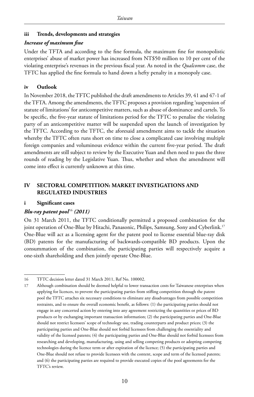# **iii Trends, developments and strategies**

#### *Increase of maximum fine*

Under the TFTA and according to the fine formula, the maximum fine for monopolistic enterprises' abuse of market power has increased from NT\$50 million to 10 per cent of the violating enterprise's revenues in the previous fiscal year. As noted in the *Qualcomm* case, the TFTC has applied the fine formula to hand down a hefty penalty in a monopoly case.

# **iv Outlook**

In November 2018, the TFTC published the draft amendments to Articles 39, 41 and 47-1 of the TFTA. Among the amendments, the TFTC proposes a provision regarding 'suspension of statute of limitations' for anticompetitive matters, such as abuse of dominance and cartels. To be specific, the five-year statute of limitations period for the TFTC to penalise the violating party of an anticompetitive matter will be suspended upon the launch of investigation by the TFTC. According to the TFTC, the aforesaid amendment aims to tackle the situation whereby the TFTC often runs short on time to close a complicated case involving multiple foreign companies and voluminous evidence within the current five-year period. The draft amendments are still subject to review by the Executive Yuan and then need to pass the three rounds of reading by the Legislative Yuan. Thus, whether and when the amendment will come into effect is currently unknown at this time.

# **IV SECTORAL COMPETITION: MARKET INVESTIGATIONS AND REGULATED INDUSTRIES**

#### **i Significant cases**

# *Blu-ray patent pool*<sup>16</sup> (2011)

On 31 March 2011, the TFTC conditionally permitted a proposed combination for the joint operation of One-Blue by Hitachi, Panasonic, Philips, Samsung, Sony and Cyberlink.17 One-Blue will act as a licensing agent for the patent pool to license essential blue-ray disk (BD) patents for the manufacturing of backwards-compatible BD products. Upon the consummation of the combination, the participating parties will respectively acquire a one-sixth shareholding and then jointly operate One-Blue.

<sup>16</sup> TFTC decision letter dated 31 March 2011, Ref No. 100002.

<sup>17</sup> Although combination should be deemed helpful to lower transaction costs for Taiwanese enterprises when applying for licences, to prevent the participating parties from stifling competition through the patent pool the TFTC attaches six necessary conditions to eliminate any disadvantages from possible competition restraints, and to ensure the overall economic benefit, as follows: (1) the participating parties should not engage in any concerted action by entering into any agreement restricting the quantities or prices of BD products or by exchanging important transaction information; (2) the participating parties and One-Blue should not restrict licensees' scope of technology use, trading counterparts and product prices; (3) the participating parties and One-Blue should not forbid licensees from challenging the essentiality and validity of the licensed patents; (4) the participating parties and One-Blue should not forbid licensees from researching and developing, manufacturing, using and selling competing products or adopting competing technologies during the licence term or after expiration of the licence; (5) the participating parties and One-Blue should not refuse to provide licensees with the content, scope and term of the licensed patents; and (6) the participating parties are required to provide executed copies of the pool agreements for the TFTC's review.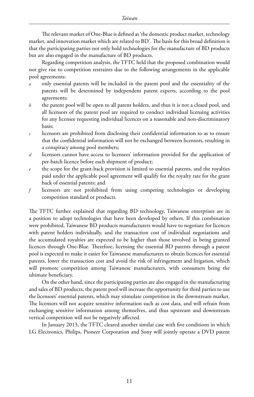The relevant market of One-Blue is defined as 'the domestic product market, technology market, and innovation market which are related to BD'. The basis for this broad definition is that the participating parties not only hold technologies for the manufacture of BD products but are also engaged in the manufacture of BD products.

Regarding competition analysis, the TFTC held that the proposed combination would not give rise to competition restraints due to the following arrangements in the applicable pool agreements:

- *a* only essential patents will be included in the patent pool and the essentiality of the patents will be determined by independent patent experts, according to the pool agreements;
- *b* the patent pool will be open to all patent holders, and thus it is not a closed pool, and all licensors of the patent pool are required to conduct individual licensing activities for any licensee requesting individual licences on a reasonable and non-discriminatory basis;
- *c* licensors are prohibited from disclosing their confidential information so as to ensure that the confidential information will not be exchanged between licensors, resulting in a conspiracy among pool members;
- *d* licensors cannot have access to licensees' information provided for the application of per-batch licence before each shipment of product;
- *e* the scope for the grant-back provision is limited to essential patents, and the royalties paid under the applicable pool agreement will qualify for the royalty rate for the grant back of essential patents; and
- *f* licensors are not prohibited from using competing technologies or developing competition standard or products.

The TFTC further explained that regarding BD technology, Taiwanese enterprises are in a position to adopt technologies that have been developed by others. If this combination were prohibited, Taiwanese BD products manufacturers would have to negotiate for licences with patent holders individually, and the transaction cost of individual negotiations and the accumulated royalties are expected to be higher than those involved in being granted licences through One-Blue. Therefore, licensing the essential BD patents through a patent pool is expected to make it easier for Taiwanese manufacturers to obtain licences for essential patents, lower the transaction cost and avoid the risk of infringement and litigation, which will promote competition among Taiwanese manufacturers, with consumers being the ultimate beneficiary.

On the other hand, since the participating parties are also engaged in the manufacturing and sales of BD products, the patent pool will increase the opportunity for third parties to use the licensors' essential patents, which may stimulate competition in the downstream market. The licensors will not acquire sensitive information such as cost data, and will refrain from exchanging sensitive information among themselves, and thus upstream and downstream vertical competition will not be negatively affected.

In January 2013, the TFTC cleared another similar case with five conditions in which LG Electronics, Philips, Pioneer Corporation and Sony will jointly operate a DVD patent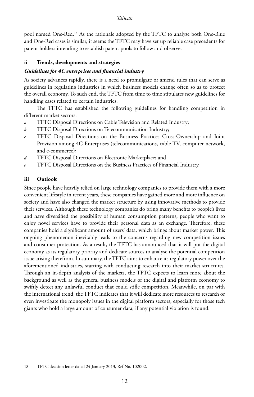pool named One-Red.18 As the rationale adopted by the TFTC to analyse both One-Blue and One-Red cases is similar, it seems the TFTC may have set up reliable case precedents for patent holders intending to establish patent pools to follow and observe.

# **ii Trends, developments and strategies**

# *Guidelines for 4C enterprises and financial industry*

As society advances rapidly, there is a need to promulgate or amend rules that can serve as guidelines in regulating industries in which business models change often so as to protect the overall economy. To such end, the TFTC from time to time stipulates new guidelines for handling cases related to certain industries.

The TFTC has established the following guidelines for handling competition in different market sectors:

- *a* TFTC Disposal Directions on Cable Television and Related Industry;
- *b* TFTC Disposal Directions on Telecommunication Industry;
- *c* TFTC Disposal Directions on the Business Practices Cross-Ownership and Joint Provision among 4C Enterprises (telecommunications, cable TV, computer network, and e-commerce);
- *d* TFTC Disposal Directions on Electronic Marketplace; and
- *e* TFTC Disposal Directions on the Business Practices of Financial Industry.

# **iii Outlook**

Since people have heavily relied on large technology companies to provide them with a more convenient lifestyle in recent years, these companies have gained more and more influence on society and have also changed the market structure by using innovative methods to provide their services. Although these technology companies do bring many benefits to people's lives and have diversified the possibility of human consumption patterns, people who want to enjoy novel services have to provide their personal data as an exchange. Therefore, these companies hold a significant amount of users' data, which brings about market power. This ongoing phenomenon inevitably leads to the concerns regarding new competition issues and consumer protection. As a result, the TFTC has announced that it will put the digital economy as its regulatory priority and dedicate sources to analyse the potential competition issue arising therefrom. In summary, the TFTC aims to enhance its regulatory power over the aforementioned industries, starting with conducting research into their market structures. Through an in-depth analysis of the markets, the TFTC expects to learn more about the background as well as the general business models of the digital and platform economy to swiftly detect any unlawful conduct that could stifle competition. Meanwhile, on par with the international trend, the TFTC indicates that it will dedicate more resources to research or even investigate the monopoly issues in the digital platform sectors, especially for those tech giants who hold a large amount of consumer data, if any potential violation is found.

<sup>18</sup> TFTC decision letter dated 24 January 2013, Ref No. 102002.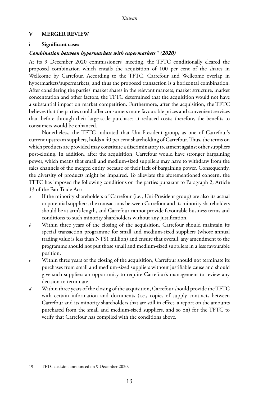#### **V MERGER REVIEW**

#### **i Significant cases**

# *Combination between hypermarkets with supermarkets*<sup>19</sup> *(2020)*

At its 9 December 2020 commissioners' meeting, the TFTC conditionally cleared the proposed combination which entails the acquisition of 100 per cent of the shares in Wellcome by Carrefour. According to the TFTC, Carrefour and Wellcome overlap in hypermarkets/supermarkets, and thus the proposed transaction is a horizontal combination. After considering the parties' market shares in the relevant markets, market structure, market concentration and other factors, the TFTC determined that the acquisition would not have a substantial impact on market competition. Furthermore, after the acquisition, the TFTC believes that the parties could offer consumers more favourable prices and convenient services than before through their large-scale purchases at reduced costs; therefore, the benefits to consumers would be enhanced.

Nonetheless, the TFTC indicated that Uni-President group, as one of Carrefour's current upstream suppliers, holds a 40 per cent shareholding of Carrefour. Thus, the terms on which products are provided may constitute a discriminatory treatment against other suppliers post-closing. In addition, after the acquisition, Carrefour would have stronger bargaining power, which means that small and medium-sized suppliers may have to withdraw from the sales channels of the merged entity because of their lack of bargaining power. Consequently, the diversity of products might be impaired. To alleviate the aforementioned concern, the TFTC has imposed the following conditions on the parties pursuant to Paragraph 2, Article 13 of the Fair Trade Act:

- *a* If the minority shareholders of Carrefour (i.e., Uni-President group) are also its actual or potential suppliers, the transactions between Carrefour and its minority shareholders should be at arm's length, and Carrefour cannot provide favourable business terms and conditions to such minority shareholders without any justification.
- *b* Within three years of the closing of the acquisition, Carrefour should maintain its special transaction programme for small and medium-sized suppliers (whose annual trading value is less than NT\$1 million) and ensure that overall, any amendment to the programme should not put those small and medium-sized suppliers in a less favourable position.
- *c* Within three years of the closing of the acquisition, Carrefour should not terminate its purchases from small and medium-sized suppliers without justifiable cause and should give such suppliers an opportunity to require Carrefour's management to review any decision to terminate.
- *d* Within three years of the closing of the acquisition, Carrefour should provide the TFTC with certain information and documents (i.e., copies of supply contracts between Carrefour and its minority shareholders that are still in effect, a report on the amounts purchased from the small and medium-sized suppliers, and so on) for the TFTC to verify that Carrefour has complied with the conditions above.

<sup>19</sup> TFTC decision announced on 9 December 2020.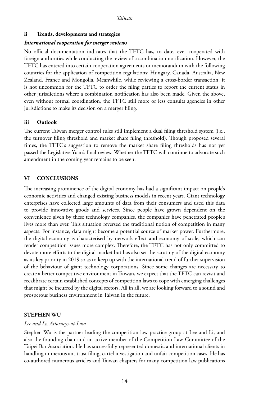# **ii Trends, developments and strategies**

#### *International cooperation for merger reviews*

No official documentation indicates that the TFTC has, to date, ever cooperated with foreign authorities while conducting the review of a combination notification. However, the TFTC has entered into certain cooperation agreements or memorandum with the following countries for the application of competition regulations: Hungary, Canada, Australia, New Zealand, France and Mongolia. Meanwhile, while reviewing a cross-border transaction, it is not uncommon for the TFTC to order the filing parties to report the current status in other jurisdictions where a combination notification has also been made. Given the above, even without formal coordination, the TFTC still more or less consults agencies in other jurisdictions to make its decision on a merger filing.

# **iii Outlook**

The current Taiwan merger control rules still implement a dual filing threshold system (i.e., the turnover filing threshold and market share filing threshold). Though proposed several times, the TFTC's suggestion to remove the market share filing thresholds has not yet passed the Legislative Yuan's final review. Whether the TFTC will continue to advocate such amendment in the coming year remains to be seen.

# **VI CONCLUSIONS**

The increasing prominence of the digital economy has had a significant impact on people's economic activities and changed existing business models in recent years. Giant technology enterprises have collected large amounts of data from their consumers and used this data to provide innovative goods and services. Since people have grown dependent on the convenience given by these technology companies, the companies have penetrated people's lives more than ever. This situation reversed the traditional notion of competition in many aspects. For instance, data might become a potential source of market power. Furthermore, the digital economy is characterised by network effect and economy of scale, which can render competition issues more complex. Therefore, the TFTC has not only committed to devote more efforts to the digital market but has also set the scrutiny of the digital economy as its key priority in 2019 so as to keep up with the international trend of further supervision of the behaviour of giant technology corporations. Since some changes are necessary to create a better competitive environment in Taiwan, we expect that the TFTC can revisit and recalibrate certain established concepts of competition laws to cope with emerging challenges that might be incurred by the digital sectors. All in all, we are looking forward to a sound and prosperous business environment in Taiwan in the future.

# **STEPHEN WU**

# *Lee and Li, Attorneys-at-Law*

Stephen Wu is the partner leading the competition law practice group at Lee and Li, and also the founding chair and an active member of the Competition Law Committee of the Taipei Bar Association. He has successfully represented domestic and international clients in handling numerous antitrust filing, cartel investigation and unfair competition cases. He has co-authored numerous articles and Taiwan chapters for many competition law publications